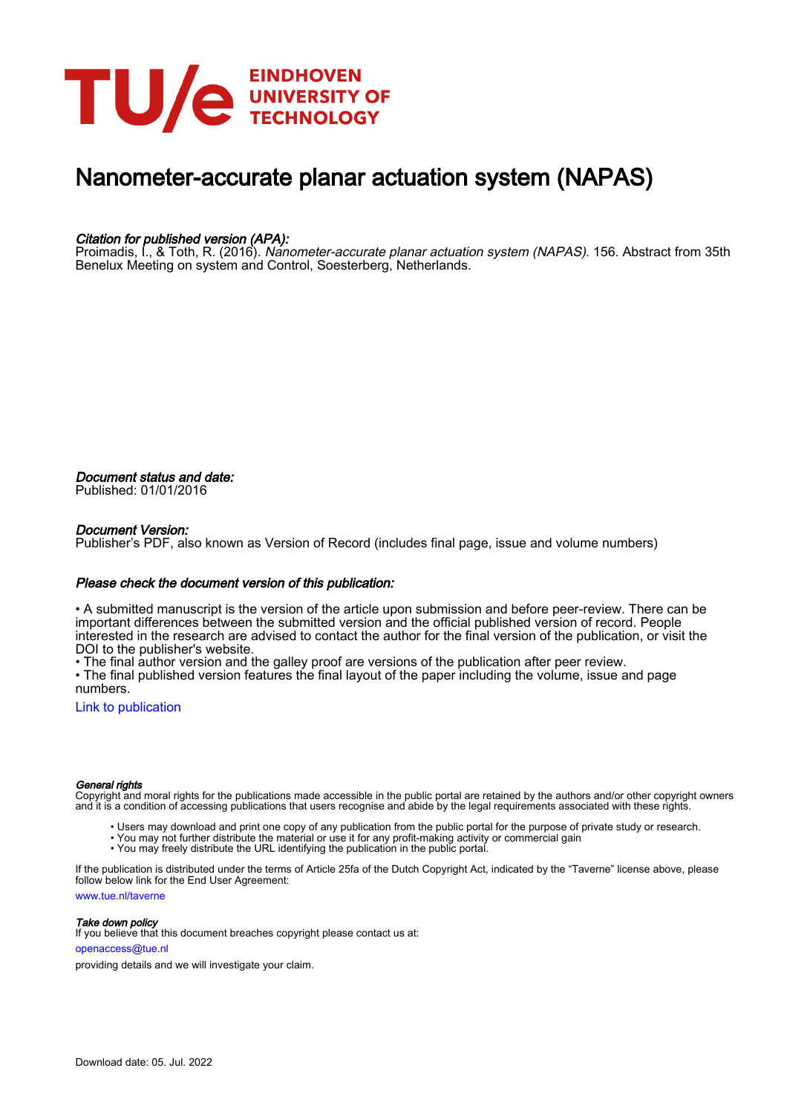

# Nanometer-accurate planar actuation system (NAPAS)

## Citation for published version (APA):

Proimadis, I., & Toth, R. (2016). Nanometer-accurate planar actuation system (NAPAS). 156. Abstract from 35th Benelux Meeting on system and Control, Soesterberg, Netherlands.

Document status and date: Published: 01/01/2016

## Document Version:

Publisher's PDF, also known as Version of Record (includes final page, issue and volume numbers)

## Please check the document version of this publication:

• A submitted manuscript is the version of the article upon submission and before peer-review. There can be important differences between the submitted version and the official published version of record. People interested in the research are advised to contact the author for the final version of the publication, or visit the DOI to the publisher's website.

• The final author version and the galley proof are versions of the publication after peer review.

• The final published version features the final layout of the paper including the volume, issue and page numbers.

[Link to publication](https://research.tue.nl/en/publications/99f3d262-c88d-45e2-b19e-e6bd4fb69ab8)

### General rights

Copyright and moral rights for the publications made accessible in the public portal are retained by the authors and/or other copyright owners and it is a condition of accessing publications that users recognise and abide by the legal requirements associated with these rights.

- Users may download and print one copy of any publication from the public portal for the purpose of private study or research.
- You may not further distribute the material or use it for any profit-making activity or commercial gain
- You may freely distribute the URL identifying the publication in the public portal.

If the publication is distributed under the terms of Article 25fa of the Dutch Copyright Act, indicated by the "Taverne" license above, please follow below link for the End User Agreement:

www.tue.nl/taverne

**Take down policy**<br>If you believe that this document breaches copyright please contact us at:

openaccess@tue.nl

providing details and we will investigate your claim.